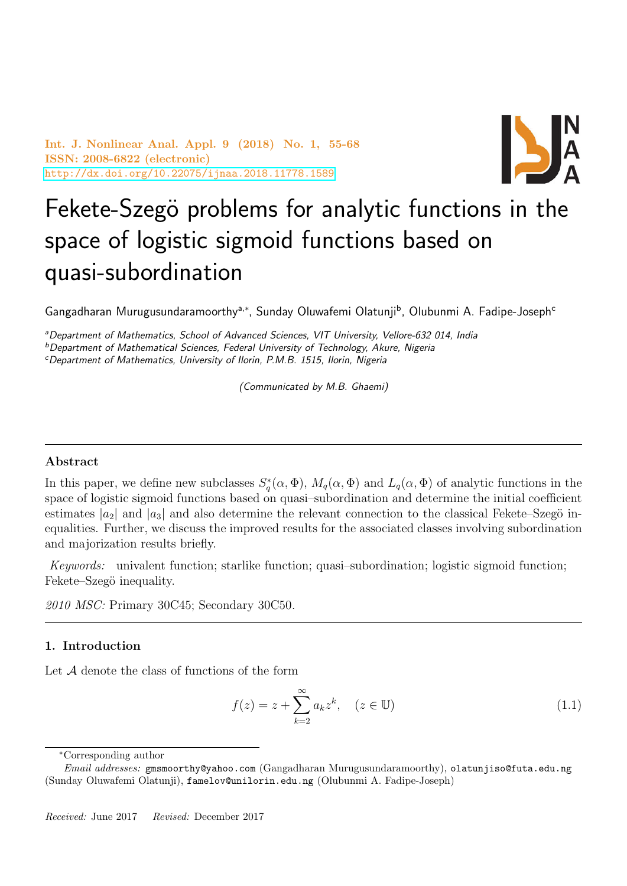Int. J. Nonlinear Anal. Appl. 9 (2018) No. 1, 55-68 ISSN: 2008-6822 (electronic) <http://dx.doi.org/10.22075/ijnaa.2018.11778.1589>



# Fekete-Szegö problems for analytic functions in the space of logistic sigmoid functions based on quasi-subordination

Gangadharan Murugusundaramoorthy<sup>a,\*</sup>, Sunday Oluwafemi Olatunji<sup>b</sup>, Olubunmi A. Fadipe-Joseph<sup>c</sup>

aDepartment of Mathematics, School of Advanced Sciences, VIT University, Vellore-632 014, India

 $b$ Department of Mathematical Sciences, Federal University of Technology, Akure, Nigeria

<sup>c</sup>Department of Mathematics, University of Ilorin, P.M.B. 1515, Ilorin, Nigeria

(Communicated by M.B. Ghaemi)

## Abstract

In this paper, we define new subclasses  $S_q^*(\alpha, \Phi)$ ,  $M_q(\alpha, \Phi)$  and  $L_q(\alpha, \Phi)$  of analytic functions in the space of logistic sigmoid functions based on quasi–subordination and determine the initial coefficient estimates  $|a_2|$  and  $|a_3|$  and also determine the relevant connection to the classical Fekete–Szegö inequalities. Further, we discuss the improved results for the associated classes involving subordination and majorization results briefly.

Keywords: univalent function; starlike function; quasi–subordination; logistic sigmoid function; Fekete–Szegö inequality.

2010 MSC: Primary 30C45; Secondary 30C50.

## 1. Introduction

Let A denote the class of functions of the form

<span id="page-0-0"></span>
$$
f(z) = z + \sum_{k=2}^{\infty} a_k z^k, \quad (z \in \mathbb{U})
$$
\n(1.1)

<sup>∗</sup>Corresponding author

Email addresses: gmsmoorthy@yahoo.com (Gangadharan Murugusundaramoorthy), olatunjiso@futa.edu.ng (Sunday Oluwafemi Olatunji), famelov@unilorin.edu.ng (Olubunmi A. Fadipe-Joseph)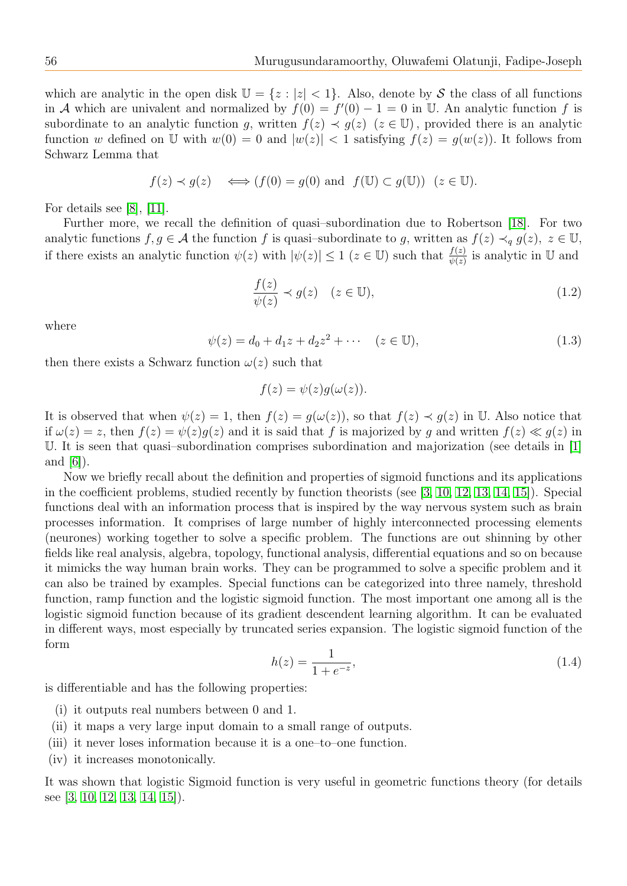which are analytic in the open disk  $\mathbb{U} = \{z : |z| < 1\}$ . Also, denote by S the class of all functions in A which are univalent and normalized by  $f(0) = f'(0) - 1 = 0$  in U. An analytic function f is subordinate to an analytic function g, written  $f(z) \prec g(z)$   $(z \in \mathbb{U})$ , provided there is an analytic function w defined on U with  $w(0) = 0$  and  $|w(z)| < 1$  satisfying  $f(z) = g(w(z))$ . It follows from Schwarz Lemma that

$$
f(z) \prec g(z) \iff (f(0) = g(0) \text{ and } f(\mathbb{U}) \subset g(\mathbb{U})) \ (z \in \mathbb{U}).
$$

For details see [\[8\]](#page-13-0), [\[11\]](#page-13-1).

Further more, we recall the definition of quasi–subordination due to Robertson [\[18\]](#page-13-2). For two analytic functions  $f, g \in \mathcal{A}$  the function f is quasi–subordinate to g, written as  $f(z) \prec_q g(z)$ ,  $z \in \mathbb{U}$ , if there exists an analytic function  $\psi(z)$  with  $|\psi(z)| \leq 1$   $(z \in \mathbb{U})$  such that  $\frac{f(z)}{\psi(z)}$  is analytic in  $\mathbb{U}$  and

$$
\frac{f(z)}{\psi(z)} \prec g(z) \quad (z \in \mathbb{U}),\tag{1.2}
$$

where

<span id="page-1-0"></span>
$$
\psi(z) = d_0 + d_1 z + d_2 z^2 + \cdots \quad (z \in \mathbb{U}),
$$
\n(1.3)

then there exists a Schwarz function  $\omega(z)$  such that

$$
f(z) = \psi(z)g(\omega(z)).
$$

It is observed that when  $\psi(z) = 1$ , then  $f(z) = g(\omega(z))$ , so that  $f(z) \prec g(z)$  in U. Also notice that if  $\omega(z) = z$ , then  $f(z) = \psi(z)q(z)$  and it is said that f is majorized by q and written  $f(z) \ll q(z)$  in U. It is seen that quasi–subordination comprises subordination and majorization (see details in [\[1\]](#page-13-3) and [\[6\]](#page-13-4)).

Now we briefly recall about the definition and properties of sigmoid functions and its applications in the coefficient problems, studied recently by function theorists (see [\[3,](#page-13-5) [10,](#page-13-6) [12,](#page-13-7) [13,](#page-13-8) [14,](#page-13-9) [15\]](#page-13-10)). Special functions deal with an information process that is inspired by the way nervous system such as brain processes information. It comprises of large number of highly interconnected processing elements (neurones) working together to solve a specific problem. The functions are out shinning by other fields like real analysis, algebra, topology, functional analysis, differential equations and so on because it mimicks the way human brain works. They can be programmed to solve a specific problem and it can also be trained by examples. Special functions can be categorized into three namely, threshold function, ramp function and the logistic sigmoid function. The most important one among all is the logistic sigmoid function because of its gradient descendent learning algorithm. It can be evaluated in different ways, most especially by truncated series expansion. The logistic sigmoid function of the form

$$
h(z) = \frac{1}{1 + e^{-z}},\tag{1.4}
$$

is differentiable and has the following properties:

- (i) it outputs real numbers between 0 and 1.
- (ii) it maps a very large input domain to a small range of outputs.
- (iii) it never loses information because it is a one–to–one function.
- (iv) it increases monotonically.

It was shown that logistic Sigmoid function is very useful in geometric functions theory (for details see [\[3,](#page-13-5) [10,](#page-13-6) [12,](#page-13-7) [13,](#page-13-8) [14,](#page-13-9) [15\]](#page-13-10)).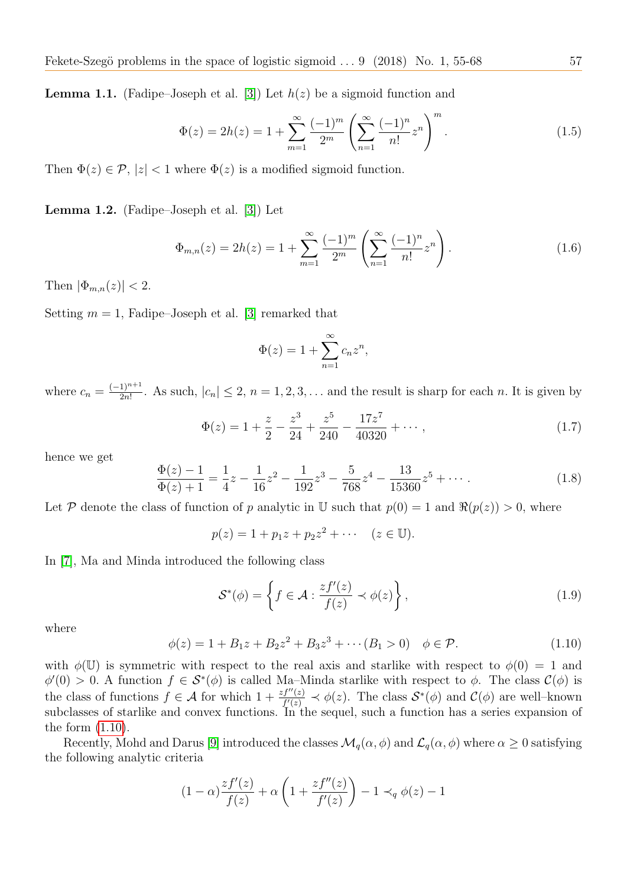**Lemma 1.1.** (Fadipe–Joseph et al. [\[3\]](#page-13-5)) Let  $h(z)$  be a sigmoid function and

$$
\Phi(z) = 2h(z) = 1 + \sum_{m=1}^{\infty} \frac{(-1)^m}{2^m} \left( \sum_{n=1}^{\infty} \frac{(-1)^n}{n!} z^n \right)^m.
$$
\n(1.5)

Then  $\Phi(z) \in \mathcal{P}$ ,  $|z| < 1$  where  $\Phi(z)$  is a modified sigmoid function.

Lemma 1.2. (Fadipe–Joseph et al. [\[3\]](#page-13-5)) Let

$$
\Phi_{m,n}(z) = 2h(z) = 1 + \sum_{m=1}^{\infty} \frac{(-1)^m}{2^m} \left( \sum_{n=1}^{\infty} \frac{(-1)^n}{n!} z^n \right).
$$
 (1.6)

Then  $|\Phi_{m,n}(z)| < 2$ .

Setting  $m = 1$ , Fadipe–Joseph et al. [\[3\]](#page-13-5) remarked that

$$
\Phi(z) = 1 + \sum_{n=1}^{\infty} c_n z^n,
$$

where  $c_n = \frac{(-1)^{n+1}}{2n!}$  $\frac{1}{2n!}$ . As such,  $|c_n| \leq 2$ ,  $n = 1, 2, 3, \ldots$  and the result is sharp for each n. It is given by

<span id="page-2-1"></span>
$$
\Phi(z) = 1 + \frac{z}{2} - \frac{z^3}{24} + \frac{z^5}{240} - \frac{17z^7}{40320} + \cdots,
$$
\n(1.7)

hence we get

<span id="page-2-2"></span>
$$
\frac{\Phi(z) - 1}{\Phi(z) + 1} = \frac{1}{4}z - \frac{1}{16}z^2 - \frac{1}{192}z^3 - \frac{5}{768}z^4 - \frac{13}{15360}z^5 + \cdots
$$
\n(1.8)

Let P denote the class of function of p analytic in U such that  $p(0) = 1$  and  $\Re(p(z)) > 0$ , where

$$
p(z) = 1 + p_1 z + p_2 z^2 + \cdots \quad (z \in \mathbb{U}).
$$

In [\[7\]](#page-13-11), Ma and Minda introduced the following class

$$
\mathcal{S}^*(\phi) = \left\{ f \in \mathcal{A} : \frac{zf'(z)}{f(z)} \prec \phi(z) \right\},\tag{1.9}
$$

where

<span id="page-2-0"></span>
$$
\phi(z) = 1 + B_1 z + B_2 z^2 + B_3 z^3 + \cdots (B_1 > 0) \quad \phi \in \mathcal{P}.
$$
\n(1.10)

with  $\phi(\mathbb{U})$  is symmetric with respect to the real axis and starlike with respect to  $\phi(0) = 1$  and  $\phi'(0) > 0$ . A function  $f \in \mathcal{S}^*(\phi)$  is called Ma–Minda starlike with respect to  $\phi$ . The class  $\mathcal{C}(\phi)$  is the class of functions  $f \in \mathcal{A}$  for which  $1 + \frac{zf''(z)}{f'(z)} \prec \phi(z)$ . The class  $\mathcal{S}^*(\phi)$  and  $\mathcal{C}(\phi)$  are well-known subclasses of starlike and convex functions. In the sequel, such a function has a series expansion of the form [\(1.10\)](#page-2-0).

Recently, Mohd and Darus [\[9\]](#page-13-12) introduced the classes  $\mathcal{M}_q(\alpha, \phi)$  and  $\mathcal{L}_q(\alpha, \phi)$  where  $\alpha \geq 0$  satisfying the following analytic criteria

$$
(1-\alpha)\frac{zf'(z)}{f(z)} + \alpha\left(1 + \frac{zf''(z)}{f'(z)}\right) - 1 \prec_q \phi(z) - 1
$$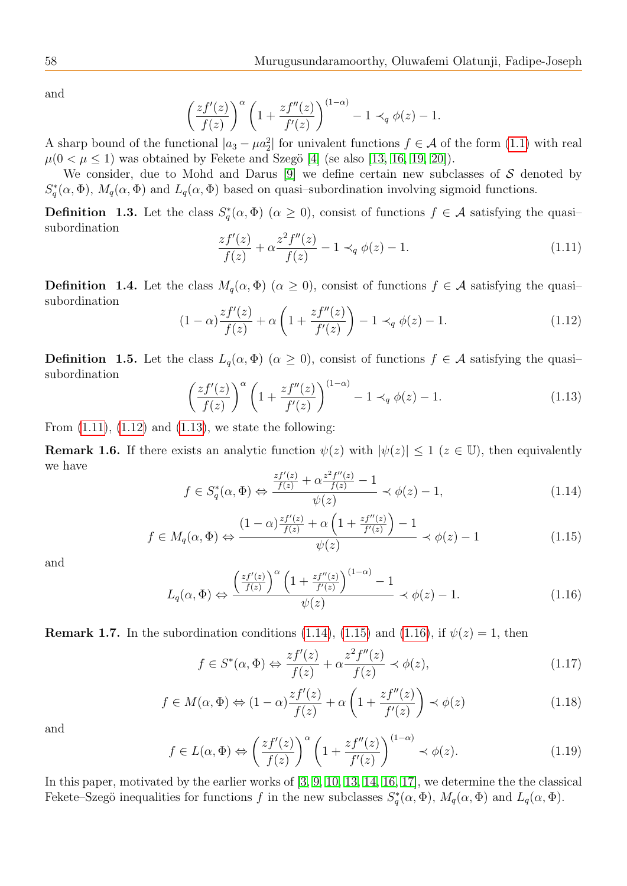and

$$
\left(\frac{zf'(z)}{f(z)}\right)^{\alpha} \left(1 + \frac{zf''(z)}{f'(z)}\right)^{(1-\alpha)} - 1 \prec_q \phi(z) - 1.
$$

A sharp bound of the functional  $|a_3 - \mu a_2^2|$  for univalent functions  $f \in \mathcal{A}$  of the form [\(1.1\)](#page-0-0) with real  $\mu(0 < \mu \leq 1)$  was obtained by Fekete and Szegö [\[4\]](#page-13-13) (se also [\[13,](#page-13-8) [16,](#page-13-14) [19,](#page-13-15) [20\]](#page-13-16)).

We consider, due to Mohd and Darus [\[9\]](#page-13-12) we define certain new subclasses of  $S$  denoted by  $S_q^*(\alpha, \Phi)$ ,  $M_q(\alpha, \Phi)$  and  $L_q(\alpha, \Phi)$  based on quasi-subordination involving sigmoid functions.

**Definition** 1.3. Let the class  $S_q^*(\alpha, \Phi)$  ( $\alpha \geq 0$ ), consist of functions  $f \in \mathcal{A}$  satisfying the quasisubordination

<span id="page-3-0"></span>
$$
\frac{zf'(z)}{f(z)} + \alpha \frac{z^2 f''(z)}{f(z)} - 1 \prec_q \phi(z) - 1.
$$
\n(1.11)

**Definition 1.4.** Let the class  $M_q(\alpha, \Phi)$  ( $\alpha \geq 0$ ), consist of functions  $f \in \mathcal{A}$  satisfying the quasisubordination

<span id="page-3-1"></span>
$$
(1 - \alpha) \frac{zf'(z)}{f(z)} + \alpha \left(1 + \frac{zf''(z)}{f'(z)}\right) - 1 \prec_q \phi(z) - 1.
$$
 (1.12)

**Definition 1.5.** Let the class  $L_q(\alpha, \Phi)$  ( $\alpha \geq 0$ ), consist of functions  $f \in \mathcal{A}$  satisfying the quasisubordination

<span id="page-3-2"></span>
$$
\left(\frac{zf'(z)}{f(z)}\right)^{\alpha} \left(1 + \frac{zf''(z)}{f'(z)}\right)^{(1-\alpha)} - 1 \prec_q \phi(z) - 1.
$$
\n(1.13)

From  $(1.11)$ ,  $(1.12)$  and  $(1.13)$ , we state the following:

**Remark 1.6.** If there exists an analytic function  $\psi(z)$  with  $|\psi(z)| \leq 1$  ( $z \in \mathbb{U}$ ), then equivalently we have

<span id="page-3-3"></span>
$$
f \in S_q^*(\alpha, \Phi) \Leftrightarrow \frac{\frac{zf'(z)}{f(z)} + \alpha \frac{z^2 f''(z)}{f(z)} - 1}{\psi(z)} \prec \phi(z) - 1,\tag{1.14}
$$

<span id="page-3-4"></span>
$$
f \in M_q(\alpha, \Phi) \Leftrightarrow \frac{(1-\alpha)\frac{zf'(z)}{f(z)} + \alpha\left(1 + \frac{zf''(z)}{f'(z)}\right) - 1}{\psi(z)} \prec \phi(z) - 1 \tag{1.15}
$$

and

<span id="page-3-5"></span>
$$
L_q(\alpha, \Phi) \Leftrightarrow \frac{\left(\frac{zf'(z)}{f(z)}\right)^{\alpha} \left(1 + \frac{zf''(z)}{f'(z)}\right)^{(1-\alpha)} - 1}{\psi(z)} \prec \phi(z) - 1. \tag{1.16}
$$

**Remark 1.7.** In the subordination conditions [\(1.14\)](#page-3-3), [\(1.15\)](#page-3-4) and [\(1.16\)](#page-3-5), if  $\psi(z) = 1$ , then

$$
f \in S^*(\alpha, \Phi) \Leftrightarrow \frac{zf'(z)}{f(z)} + \alpha \frac{z^2 f''(z)}{f(z)} \prec \phi(z), \tag{1.17}
$$

<span id="page-3-6"></span>
$$
f \in M(\alpha, \Phi) \Leftrightarrow (1 - \alpha) \frac{zf'(z)}{f(z)} + \alpha \left(1 + \frac{zf''(z)}{f'(z)}\right) \prec \phi(z)
$$
 (1.18)

and

$$
f \in L(\alpha, \Phi) \Leftrightarrow \left(\frac{zf'(z)}{f(z)}\right)^{\alpha} \left(1 + \frac{zf''(z)}{f'(z)}\right)^{(1-\alpha)} \prec \phi(z). \tag{1.19}
$$

In this paper, motivated by the earlier works of [\[3,](#page-13-5) [9,](#page-13-12) [10,](#page-13-6) [13,](#page-13-8) [14,](#page-13-9) [16,](#page-13-14) [17\]](#page-13-17), we determine the the classical Fekete–Szegö inequalities for functions f in the new subclasses  $S_q^*(\alpha, \Phi)$ ,  $M_q(\alpha, \Phi)$  and  $L_q(\alpha, \Phi)$ .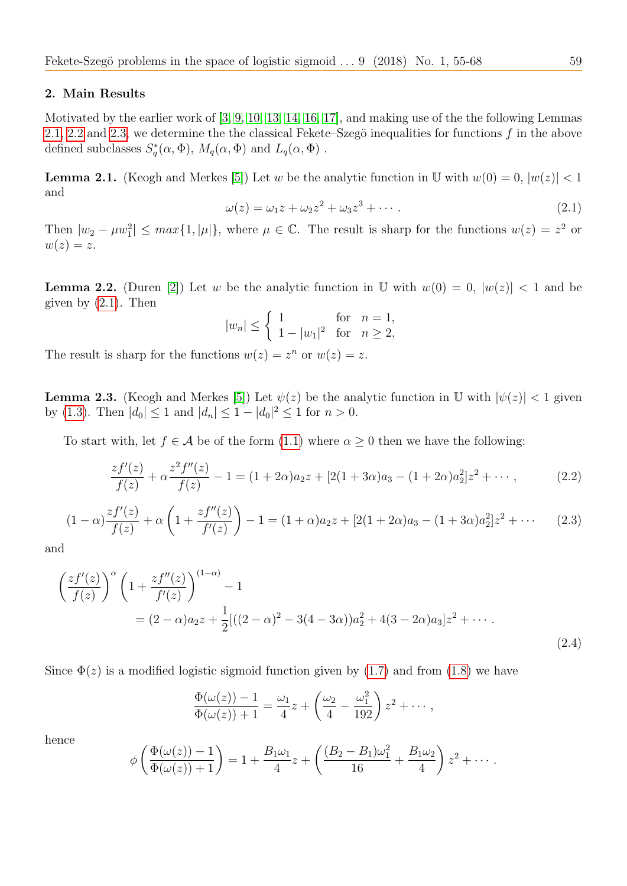### 2. Main Results

Motivated by the earlier work of [\[3,](#page-13-5) [9,](#page-13-12) [10,](#page-13-6) [13,](#page-13-8) [14,](#page-13-9) [16,](#page-13-14) [17\]](#page-13-17), and making use of the the following Lemmas [2.1,](#page-4-0) [2.2](#page-4-1) and [2.3,](#page-4-2) we determine the the classical Fekete–Szegö inequalities for functions  $f$  in the above defined subclasses  $S_q^*(\alpha, \Phi)$ ,  $M_q(\alpha, \Phi)$  and  $L_q(\alpha, \Phi)$ .

<span id="page-4-0"></span>**Lemma 2.1.** (Keogh and Merkes [\[5\]](#page-13-18)) Let w be the analytic function in U with  $w(0) = 0$ ,  $|w(z)| < 1$ and

<span id="page-4-3"></span>
$$
\omega(z) = \omega_1 z + \omega_2 z^2 + \omega_3 z^3 + \cdots \tag{2.1}
$$

Then  $|w_2 - \mu w_1^2| \leq max\{1, |\mu|\}$ , where  $\mu \in \mathbb{C}$ . The result is sharp for the functions  $w(z) = z^2$  or  $w(z) = z.$ 

<span id="page-4-1"></span>**Lemma 2.2.** (Duren [\[2\]](#page-13-19)) Let w be the analytic function in U with  $w(0) = 0$ ,  $|w(z)| < 1$  and be given by  $(2.1)$ . Then

$$
|w_n| \le \begin{cases} 1 & \text{for } n = 1, \\ 1 - |w_1|^2 & \text{for } n \ge 2, \end{cases}
$$

The result is sharp for the functions  $w(z) = z^n$  or  $w(z) = z$ .

<span id="page-4-2"></span>**Lemma 2.3.** (Keogh and Merkes [\[5\]](#page-13-18)) Let  $\psi(z)$  be the analytic function in U with  $|\psi(z)| < 1$  given by [\(1.3\)](#page-1-0). Then  $|d_0| \le 1$  and  $|d_n| \le 1 - |d_0|^2 \le 1$  for  $n > 0$ .

To start with, let  $f \in \mathcal{A}$  be of the form  $(1.1)$  where  $\alpha \geq 0$  then we have the following:

<span id="page-4-4"></span>
$$
\frac{zf'(z)}{f(z)} + \alpha \frac{z^2 f''(z)}{f(z)} - 1 = (1 + 2\alpha)a_2 z + [2(1 + 3\alpha)a_3 - (1 + 2\alpha)a_2^2]z^2 + \cdots,
$$
 (2.2)

<span id="page-4-5"></span>
$$
(1 - \alpha) \frac{zf'(z)}{f(z)} + \alpha \left(1 + \frac{zf''(z)}{f'(z)}\right) - 1 = (1 + \alpha)a_2 z + [2(1 + 2\alpha)a_3 - (1 + 3\alpha)a_2^2]z^2 + \cdots
$$
 (2.3)

and

$$
\left(\frac{zf'(z)}{f(z)}\right)^{\alpha} \left(1 + \frac{zf''(z)}{f'(z)}\right)^{(1-\alpha)} - 1
$$
  
=  $(2 - \alpha)a_2z + \frac{1}{2}[((2 - \alpha)^2 - 3(4 - 3\alpha))a_2^2 + 4(3 - 2\alpha)a_3]z^2 + \cdots$  (2.4)

Since  $\Phi(z)$  is a modified logistic sigmoid function given by [\(1.7\)](#page-2-1) and from [\(1.8\)](#page-2-2) we have

$$
\frac{\Phi(\omega(z)) - 1}{\Phi(\omega(z)) + 1} = \frac{\omega_1}{4}z + \left(\frac{\omega_2}{4} - \frac{\omega_1^2}{192}\right)z^2 + \cdots,
$$

hence

$$
\phi\left(\frac{\Phi(\omega(z))-1}{\Phi(\omega(z))+1}\right)=1+\frac{B_1\omega_1}{4}z+\left(\frac{(B_2-B_1)\omega_1^2}{16}+\frac{B_1\omega_2}{4}\right)z^2+\cdots.
$$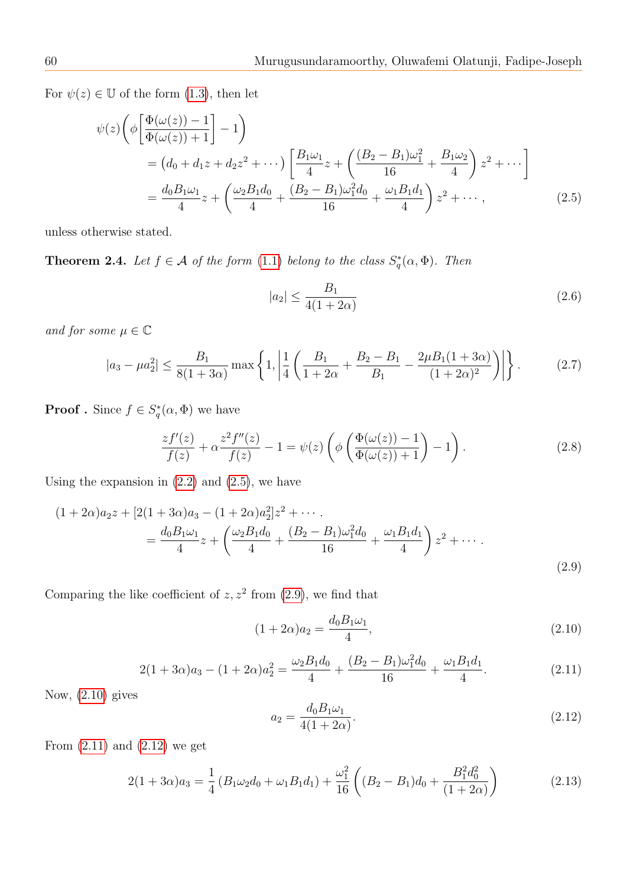For  $\psi(z) \in \mathbb{U}$  of the form [\(1.3\)](#page-1-0), then let

$$
\psi(z) \left( \phi \left[ \frac{\Phi(\omega(z)) - 1}{\Phi(\omega(z)) + 1} \right] - 1 \right)
$$
  
=  $(d_0 + d_1 z + d_2 z^2 + \cdots) \left[ \frac{B_1 \omega_1}{4} z + \left( \frac{(B_2 - B_1) \omega_1^2}{16} + \frac{B_1 \omega_2}{4} \right) z^2 + \cdots \right]$   
=  $\frac{d_0 B_1 \omega_1}{4} z + \left( \frac{\omega_2 B_1 d_0}{4} + \frac{(B_2 - B_1) \omega_1^2 d_0}{16} + \frac{\omega_1 B_1 d_1}{4} \right) z^2 + \cdots,$  (2.5)

unless otherwise stated.

<span id="page-5-5"></span>**Theorem 2.4.** Let  $f \in \mathcal{A}$  of the form [\(1.1\)](#page-0-0) belong to the class  $S_q^*(\alpha, \Phi)$ . Then

<span id="page-5-0"></span>
$$
|a_2| \le \frac{B_1}{4(1+2\alpha)}\tag{2.6}
$$

and for some  $\mu \in \mathbb{C}$ 

$$
|a_3 - \mu a_2^2| \le \frac{B_1}{8(1+3\alpha)} \max\left\{1, \left|\frac{1}{4}\left(\frac{B_1}{1+2\alpha} + \frac{B_2 - B_1}{B_1} - \frac{2\mu B_1(1+3\alpha)}{(1+2\alpha)^2}\right)\right|\right\}.
$$
 (2.7)

**Proof**. Since  $f \in S_q^*(\alpha, \Phi)$  we have

$$
\frac{zf'(z)}{f(z)} + \alpha \frac{z^2 f''(z)}{f(z)} - 1 = \psi(z) \left( \phi \left( \frac{\Phi(\omega(z)) - 1}{\Phi(\omega(z)) + 1} \right) - 1 \right). \tag{2.8}
$$

Using the expansion in  $(2.2)$  and  $(2.5)$ , we have

$$
(1+2\alpha)a_2z + [2(1+3\alpha)a_3 - (1+2\alpha)a_2^2]z^2 + \cdots
$$
  
= 
$$
\frac{d_0B_1\omega_1}{4}z + \left(\frac{\omega_2B_1d_0}{4} + \frac{(B_2 - B_1)\omega_1^2d_0}{16} + \frac{\omega_1B_1d_1}{4}\right)z^2 + \cdots
$$
 (2.9)

Comparing the like coefficient of  $z, z^2$  from [\(2.9\)](#page-5-1), we find that

<span id="page-5-2"></span><span id="page-5-1"></span>
$$
(1+2\alpha)a_2 = \frac{d_0 B_1 \omega_1}{4},\tag{2.10}
$$

<span id="page-5-3"></span>
$$
2(1+3\alpha)a_3 - (1+2\alpha)a_2^2 = \frac{\omega_2 B_1 d_0}{4} + \frac{(B_2 - B_1)\omega_1^2 d_0}{16} + \frac{\omega_1 B_1 d_1}{4}.
$$
 (2.11)

Now,  $(2.10)$  gives

<span id="page-5-4"></span>
$$
a_2 = \frac{d_0 B_1 \omega_1}{4(1 + 2\alpha)}.\t(2.12)
$$

From  $(2.11)$  and  $(2.12)$  we get

$$
2(1+3\alpha)a_3 = \frac{1}{4}\left(B_1\omega_2d_0 + \omega_1B_1d_1\right) + \frac{\omega_1^2}{16}\left((B_2 - B_1)d_0 + \frac{B_1^2d_0^2}{(1+2\alpha)}\right) \tag{2.13}
$$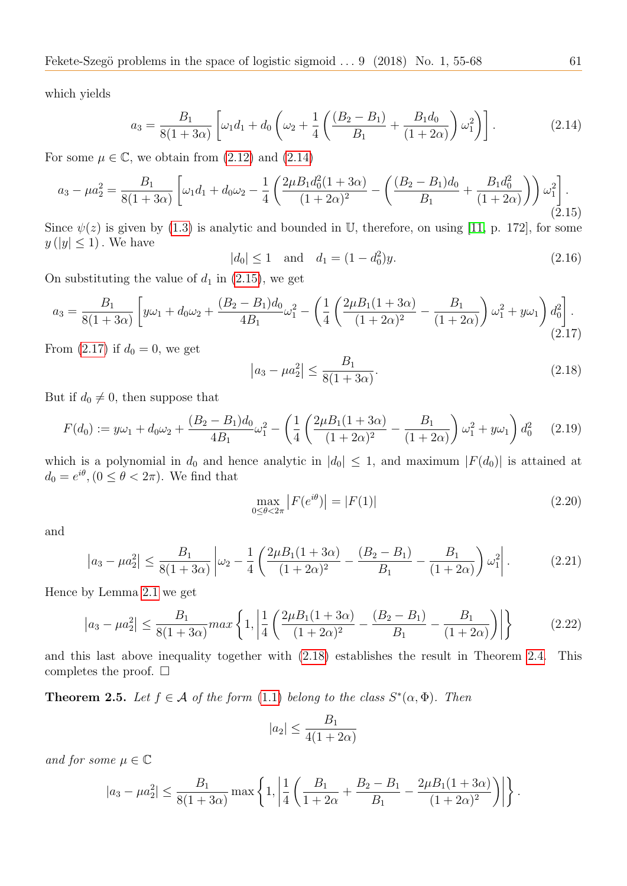which yields

<span id="page-6-0"></span>
$$
a_3 = \frac{B_1}{8(1+3\alpha)} \left[ \omega_1 d_1 + d_0 \left( \omega_2 + \frac{1}{4} \left( \frac{(B_2 - B_1)}{B_1} + \frac{B_1 d_0}{(1+2\alpha)} \right) \omega_1^2 \right) \right].
$$
 (2.14)

For some  $\mu \in \mathbb{C}$ , we obtain from  $(2.12)$  and  $(2.14)$ 

<span id="page-6-1"></span>
$$
a_3 - \mu a_2^2 = \frac{B_1}{8(1+3\alpha)} \left[ \omega_1 d_1 + d_0 \omega_2 - \frac{1}{4} \left( \frac{2\mu B_1 d_0^2 (1+3\alpha)}{(1+2\alpha)^2} - \left( \frac{(B_2 - B_1)d_0}{B_1} + \frac{B_1 d_0^2}{(1+2\alpha)} \right) \right) \omega_1^2 \right].
$$
\n(2.15)

Since  $\psi(z)$  is given by [\(1.3\)](#page-1-0) is analytic and bounded in U, therefore, on using [\[11,](#page-13-1) p. 172], for some  $y(|y| \leq 1)$ . We have

<span id="page-6-5"></span>
$$
|d_0| \le 1 \quad \text{and} \quad d_1 = (1 - d_0^2)y. \tag{2.16}
$$

On substituting the value of  $d_1$  in [\(2.15\)](#page-6-1), we get

<span id="page-6-2"></span>
$$
a_3 = \frac{B_1}{8(1+3\alpha)} \left[ y\omega_1 + d_0\omega_2 + \frac{(B_2 - B_1)d_0}{4B_1}\omega_1^2 - \left(\frac{1}{4}\left(\frac{2\mu B_1(1+3\alpha)}{(1+2\alpha)^2} - \frac{B_1}{(1+2\alpha)}\right)\omega_1^2 + y\omega_1\right) d_0^2 \right].
$$
\n(2.17)

From  $(2.17)$  if  $d_0 = 0$ , we get

<span id="page-6-3"></span>
$$
|a_3 - \mu a_2^2| \le \frac{B_1}{8(1+3\alpha)}.\tag{2.18}
$$

But if  $d_0 \neq 0$ , then suppose that

$$
F(d_0) := y\omega_1 + d_0\omega_2 + \frac{(B_2 - B_1)d_0}{4B_1}\omega_1^2 - \left(\frac{1}{4}\left(\frac{2\mu B_1(1+3\alpha)}{(1+2\alpha)^2} - \frac{B_1}{(1+2\alpha)}\right)\omega_1^2 + y\omega_1\right)d_0^2 \tag{2.19}
$$

which is a polynomial in  $d_0$  and hence analytic in  $|d_0| \leq 1$ , and maximum  $|F(d_0)|$  is attained at  $d_0 = e^{i\theta}, (0 \le \theta < 2\pi)$ . We find that

$$
\max_{0 \le \theta < 2\pi} \left| F(e^{i\theta}) \right| = |F(1)| \tag{2.20}
$$

and

$$
\left| a_3 - \mu a_2^2 \right| \le \frac{B_1}{8(1+3\alpha)} \left| \omega_2 - \frac{1}{4} \left( \frac{2\mu B_1 (1+3\alpha)}{(1+2\alpha)^2} - \frac{(B_2 - B_1)}{B_1} - \frac{B_1}{(1+2\alpha)} \right) \omega_1^2 \right|.
$$
 (2.21)

Hence by Lemma [2.1](#page-4-0) we get

$$
\left| a_3 - \mu a_2^2 \right| \le \frac{B_1}{8(1+3\alpha)} \max \left\{ 1, \left| \frac{1}{4} \left( \frac{2\mu B_1(1+3\alpha)}{(1+2\alpha)^2} - \frac{(B_2 - B_1)}{B_1} - \frac{B_1}{(1+2\alpha)} \right) \right| \right\}
$$
(2.22)

and this last above inequality together with [\(2.18\)](#page-6-3) establishes the result in Theorem [2.4.](#page-5-5) This completes the proof.  $\square$ 

<span id="page-6-4"></span>**Theorem 2.5.** Let  $f \in \mathcal{A}$  of the form [\(1.1\)](#page-0-0) belong to the class  $S^*(\alpha, \Phi)$ . Then

$$
|a_2| \le \frac{B_1}{4(1+2\alpha)}
$$

and for some  $\mu \in \mathbb{C}$ 

$$
|a_3 - \mu a_2^2| \le \frac{B_1}{8(1+3\alpha)} \max\left\{1, \left|\frac{1}{4}\left(\frac{B_1}{1+2\alpha} + \frac{B_2 - B_1}{B_1} - \frac{2\mu B_1(1+3\alpha)}{(1+2\alpha)^2}\right)\right|\right\}.
$$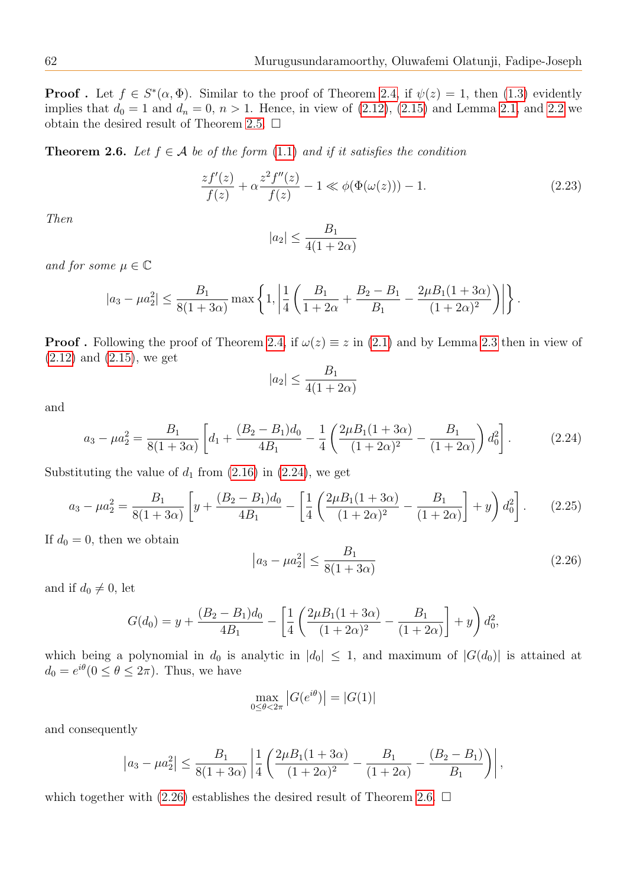**Proof**. Let  $f \in S^*(\alpha, \Phi)$ . Similar to the proof of Theorem [2.4,](#page-5-5) if  $\psi(z) = 1$ , then [\(1.3\)](#page-1-0) evidently implies that  $d_0 = 1$  and  $d_n = 0$ ,  $n > 1$ . Hence, in view of [\(2.12\)](#page-5-4), [\(2.15\)](#page-6-1) and Lemma [2.1,](#page-4-0) and [2.2](#page-4-1) we obtain the desired result of Theorem [2.5.](#page-6-4)  $\Box$ 

<span id="page-7-2"></span>**Theorem 2.6.** Let  $f \in \mathcal{A}$  be of the form [\(1.1\)](#page-0-0) and if it satisfies the condition

$$
\frac{zf'(z)}{f(z)} + \alpha \frac{z^2 f''(z)}{f(z)} - 1 \ll \phi(\Phi(\omega(z))) - 1.
$$
 (2.23)

Then

$$
|a_2| \le \frac{B_1}{4(1+2\alpha)}
$$

and for some  $\mu \in \mathbb{C}$ 

$$
|a_3 - \mu a_2^2| \le \frac{B_1}{8(1+3\alpha)} \max\left\{1, \left|\frac{1}{4}\left(\frac{B_1}{1+2\alpha} + \frac{B_2 - B_1}{B_1} - \frac{2\mu B_1(1+3\alpha)}{(1+2\alpha)^2}\right)\right|\right\}.
$$

**Proof.** Following the proof of Theorem [2.4,](#page-5-5) if  $\omega(z) \equiv z$  in [\(2.1\)](#page-4-3) and by Lemma [2.3](#page-4-2) then in view of  $(2.12)$  and  $(2.15)$ , we get

$$
|a_2| \le \frac{B_1}{4(1+2\alpha)}
$$

and

<span id="page-7-0"></span>
$$
a_3 - \mu a_2^2 = \frac{B_1}{8(1+3\alpha)} \left[ d_1 + \frac{(B_2 - B_1)d_0}{4B_1} - \frac{1}{4} \left( \frac{2\mu B_1(1+3\alpha)}{(1+2\alpha)^2} - \frac{B_1}{(1+2\alpha)} \right) d_0^2 \right].
$$
 (2.24)

Substituting the value of  $d_1$  from [\(2.16\)](#page-6-5) in [\(2.24\)](#page-7-0), we get

$$
a_3 - \mu a_2^2 = \frac{B_1}{8(1+3\alpha)} \left[ y + \frac{(B_2 - B_1)d_0}{4B_1} - \left[ \frac{1}{4} \left( \frac{2\mu B_1(1+3\alpha)}{(1+2\alpha)^2} - \frac{B_1}{(1+2\alpha)} \right] + y \right) d_0^2 \right].
$$
 (2.25)

If  $d_0 = 0$ , then we obtain

<span id="page-7-1"></span>
$$
|a_3 - \mu a_2^2| \le \frac{B_1}{8(1+3\alpha)}
$$
 (2.26)

and if  $d_0 \neq 0$ , let

$$
G(d_0) = y + \frac{(B_2 - B_1)d_0}{4B_1} - \left[\frac{1}{4}\left(\frac{2\mu B_1(1 + 3\alpha)}{(1 + 2\alpha)^2} - \frac{B_1}{(1 + 2\alpha)}\right] + y\right)d_0^2,
$$

which being a polynomial in  $d_0$  is analytic in  $|d_0| \leq 1$ , and maximum of  $|G(d_0)|$  is attained at  $d_0 = e^{i\theta} (0 \le \theta \le 2\pi)$ . Thus, we have

$$
\max_{0 \le \theta < 2\pi} |G(e^{i\theta})| = |G(1)|
$$

and consequently

$$
|a_3 - \mu a_2^2| \le \frac{B_1}{8(1+3\alpha)} \left| \frac{1}{4} \left( \frac{2\mu B_1(1+3\alpha)}{(1+2\alpha)^2} - \frac{B_1}{(1+2\alpha)} - \frac{(B_2 - B_1)}{B_1} \right) \right|,
$$

which together with [\(2.26\)](#page-7-1) establishes the desired result of Theorem [2.6.](#page-7-2)  $\Box$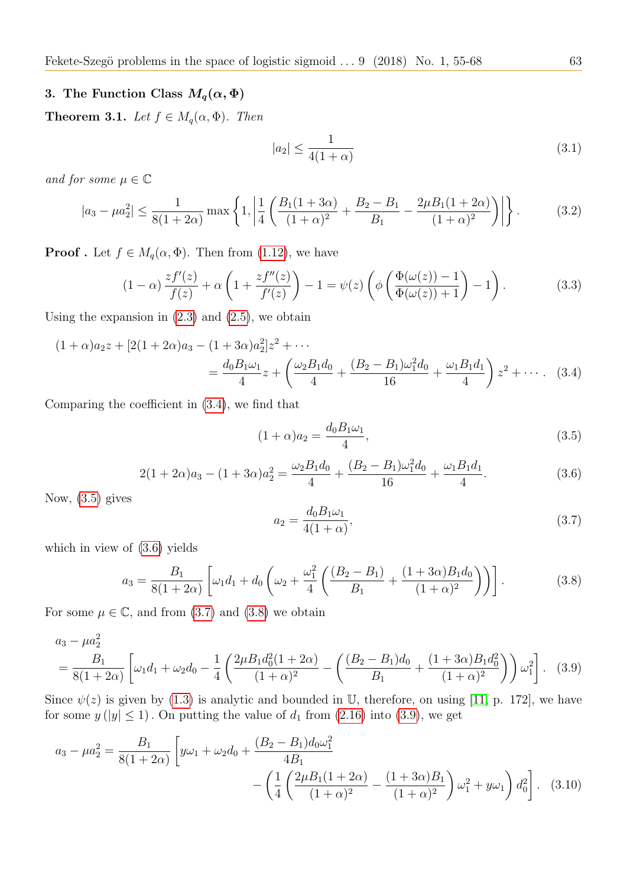# 3. The Function Class  $M_q(\alpha, \Phi)$

<span id="page-8-7"></span>**Theorem 3.1.** Let  $f \in M_q(\alpha, \Phi)$ . Then

$$
|a_2| \le \frac{1}{4(1+\alpha)}\tag{3.1}
$$

and for some  $\mu \in \mathbb{C}$ 

$$
|a_3 - \mu a_2^2| \le \frac{1}{8(1+2\alpha)} \max\left\{1, \left|\frac{1}{4} \left(\frac{B_1(1+3\alpha)}{(1+\alpha)^2} + \frac{B_2 - B_1}{B_1} - \frac{2\mu B_1(1+2\alpha)}{(1+\alpha)^2}\right)\right|\right\}.
$$
 (3.2)

**Proof** . Let  $f \in M_q(\alpha, \Phi)$ . Then from [\(1.12\)](#page-3-1), we have

$$
(1-\alpha)\frac{zf'(z)}{f(z)} + \alpha\left(1 + \frac{zf''(z)}{f'(z)}\right) - 1 = \psi(z)\left(\phi\left(\frac{\Phi(\omega(z)) - 1}{\Phi(\omega(z)) + 1}\right) - 1\right). \tag{3.3}
$$

Using the expansion in  $(2.3)$  and  $(2.5)$ , we obtain

$$
(1+\alpha)a_2z + [2(1+2\alpha)a_3 - (1+3\alpha)a_2^2]z^2 + \cdots
$$
  
= 
$$
\frac{d_0B_1\omega_1}{4}z + \left(\frac{\omega_2B_1d_0}{4} + \frac{(B_2 - B_1)\omega_1^2d_0}{16} + \frac{\omega_1B_1d_1}{4}\right)z^2 + \cdots
$$
 (3.4)

Comparing the coefficient in [\(3.4\)](#page-8-0), we find that

<span id="page-8-1"></span><span id="page-8-0"></span>
$$
(1+\alpha)a_2 = \frac{d_0 B_1 \omega_1}{4},\tag{3.5}
$$

<span id="page-8-2"></span>
$$
2(1+2\alpha)a_3 - (1+3\alpha)a_2^2 = \frac{\omega_2 B_1 d_0}{4} + \frac{(B_2 - B_1)\omega_1^2 d_0}{16} + \frac{\omega_1 B_1 d_1}{4}.
$$
 (3.6)

Now, [\(3.5\)](#page-8-1) gives

<span id="page-8-6"></span><span id="page-8-5"></span><span id="page-8-3"></span>
$$
a_2 = \frac{d_0 B_1 \omega_1}{4(1+\alpha)},
$$
\n(3.7)

which in view of [\(3.6\)](#page-8-2) yields

<span id="page-8-4"></span>
$$
a_3 = \frac{B_1}{8(1+2\alpha)} \left[ \omega_1 d_1 + d_0 \left( \omega_2 + \frac{\omega_1^2}{4} \left( \frac{(B_2 - B_1)}{B_1} + \frac{(1+3\alpha)B_1 d_0}{(1+\alpha)^2} \right) \right) \right].
$$
 (3.8)

For some  $\mu \in \mathbb{C}$ , and from [\(3.7\)](#page-8-3) and [\(3.8\)](#page-8-4) we obtain

$$
a_3 - \mu a_2^2
$$
  
=  $\frac{B_1}{8(1+2\alpha)} \left[ \omega_1 d_1 + \omega_2 d_0 - \frac{1}{4} \left( \frac{2\mu B_1 d_0^2 (1+2\alpha)}{(1+\alpha)^2} - \left( \frac{(B_2 - B_1) d_0}{B_1} + \frac{(1+3\alpha) B_1 d_0^2}{(1+\alpha)^2} \right) \right) \omega_1^2 \right].$  (3.9)

Since  $\psi(z)$  is given by [\(1.3\)](#page-1-0) is analytic and bounded in U, therefore, on using [\[11,](#page-13-1) p. 172], we have for some  $y (|y| \le 1)$ . On putting the value of  $d_1$  from [\(2.16\)](#page-6-5) into [\(3.9\)](#page-8-5), we get

$$
a_3 - \mu a_2^2 = \frac{B_1}{8(1+2\alpha)} \left[ y\omega_1 + \omega_2 d_0 + \frac{(B_2 - B_1)d_0\omega_1^2}{4B_1} - \left( \frac{1}{4} \left( \frac{2\mu B_1(1+2\alpha)}{(1+\alpha)^2} - \frac{(1+3\alpha)B_1}{(1+\alpha)^2} \right) \omega_1^2 + y\omega_1 \right) d_0^2 \right].
$$
 (3.10)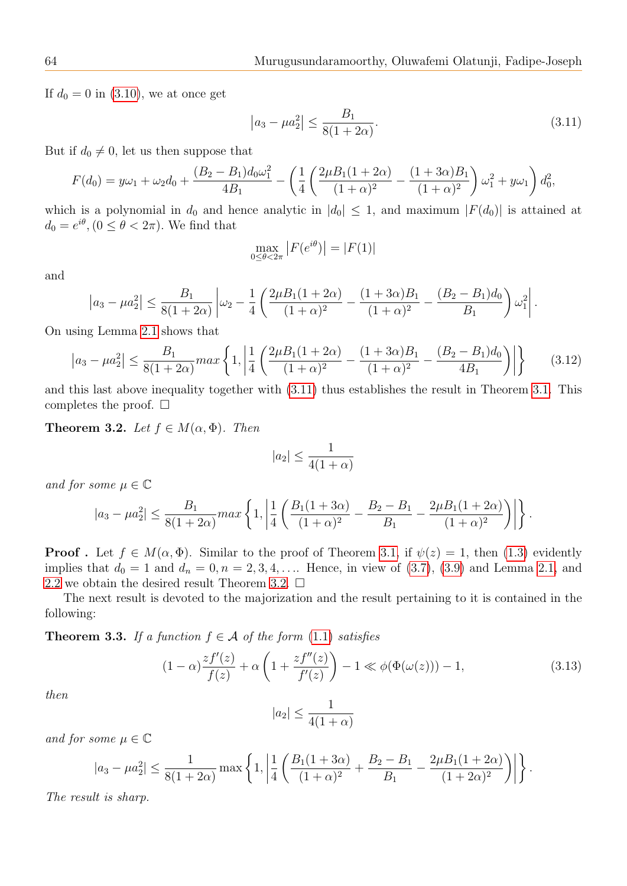If  $d_0 = 0$  in [\(3.10\)](#page-8-6), we at once get

<span id="page-9-0"></span>
$$
|a_3 - \mu a_2^2| \le \frac{B_1}{8(1 + 2\alpha)}.\tag{3.11}
$$

But if  $d_0 \neq 0$ , let us then suppose that

$$
F(d_0) = y\omega_1 + \omega_2 d_0 + \frac{(B_2 - B_1)d_0\omega_1^2}{4B_1} - \left(\frac{1}{4}\left(\frac{2\mu B_1(1 + 2\alpha)}{(1 + \alpha)^2} - \frac{(1 + 3\alpha)B_1}{(1 + \alpha)^2}\right)\omega_1^2 + y\omega_1\right) d_0^2,
$$

which is a polynomial in  $d_0$  and hence analytic in  $|d_0| \leq 1$ , and maximum  $|F(d_0)|$  is attained at  $d_0 = e^{i\theta}, (0 \le \theta < 2\pi)$ . We find that

$$
\max_{0 \le \theta < 2\pi} \left| F(e^{i\theta}) \right| = |F(1)|
$$

and

$$
\left|a_3 - \mu a_2^2\right| \le \frac{B_1}{8(1+2\alpha)} \left| \omega_2 - \frac{1}{4} \left( \frac{2\mu B_1(1+2\alpha)}{(1+\alpha)^2} - \frac{(1+3\alpha)B_1}{(1+\alpha)^2} - \frac{(B_2 - B_1)d_0}{B_1} \right) \omega_1^2 \right|.
$$

On using Lemma [2.1](#page-4-0) shows that

$$
\left| a_3 - \mu a_2^2 \right| \le \frac{B_1}{8(1+2\alpha)} \max \left\{ 1, \left| \frac{1}{4} \left( \frac{2\mu B_1 (1+2\alpha)}{(1+\alpha)^2} - \frac{(1+3\alpha)B_1}{(1+\alpha)^2} - \frac{(B_2 - B_1)d_0}{4B_1} \right) \right| \right\} \tag{3.12}
$$

and this last above inequality together with [\(3.11\)](#page-9-0) thus establishes the result in Theorem [3.1.](#page-8-7) This completes the proof.  $\square$ 

<span id="page-9-1"></span>Theorem 3.2. Let  $f \in M(\alpha, \Phi)$ . Then

$$
|a_2| \le \frac{1}{4(1+\alpha)}
$$

and for some  $\mu \in \mathbb{C}$ 

$$
|a_3 - \mu a_2^2| \le \frac{B_1}{8(1+2\alpha)} max\left\{1, \left|\frac{1}{4}\left(\frac{B_1(1+3\alpha)}{(1+\alpha)^2} - \frac{B_2 - B_1}{B_1} - \frac{2\mu B_1(1+2\alpha)}{(1+\alpha)^2}\right)\right|\right\}.
$$

**Proof**. Let  $f \in M(\alpha, \Phi)$ . Similar to the proof of Theorem [3.1,](#page-8-7) if  $\psi(z) = 1$ , then [\(1.3\)](#page-1-0) evidently implies that  $d_0 = 1$  and  $d_n = 0, n = 2, 3, 4, \ldots$  Hence, in view of [\(3.7\)](#page-8-3), [\(3.9\)](#page-8-5) and Lemma [2.1,](#page-4-0) and [2.2](#page-4-1) we obtain the desired result Theorem [3.2.](#page-9-1)  $\Box$ 

The next result is devoted to the majorization and the result pertaining to it is contained in the following:

<span id="page-9-2"></span>**Theorem 3.3.** If a function  $f \in \mathcal{A}$  of the form [\(1.1\)](#page-0-0) satisfies

$$
(1 - \alpha) \frac{zf'(z)}{f(z)} + \alpha \left(1 + \frac{zf''(z)}{f'(z)}\right) - 1 \ll \phi(\Phi(\omega(z))) - 1,
$$
\n(3.13)

then

$$
|a_2| \le \frac{1}{4(1+\alpha)}
$$

and for some  $\mu \in \mathbb{C}$ 

$$
|a_3 - \mu a_2^2| \le \frac{1}{8(1+2\alpha)} \max\left\{1, \left|\frac{1}{4} \left(\frac{B_1(1+3\alpha)}{(1+\alpha)^2} + \frac{B_2 - B_1}{B_1} - \frac{2\mu B_1(1+2\alpha)}{(1+2\alpha)^2}\right)\right|\right\}.
$$

The result is sharp.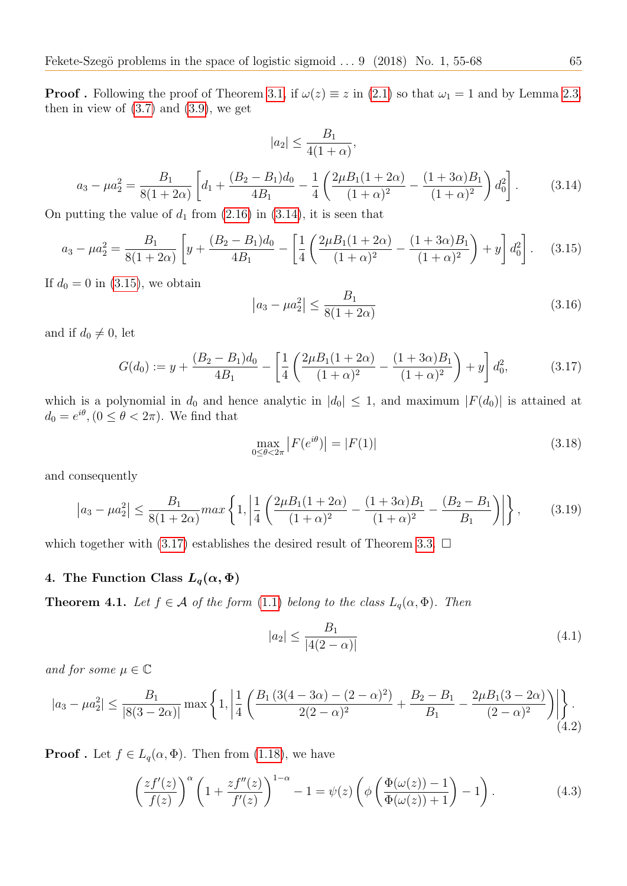**Proof**. Following the proof of Theorem [3.1,](#page-8-7) if  $\omega(z) \equiv z$  in [\(2.1\)](#page-4-3) so that  $\omega_1 = 1$  and by Lemma [2.3,](#page-4-2) then in view of  $(3.7)$  and  $(3.9)$ , we get

$$
|a_2| \le \frac{B_1}{4(1+\alpha)},
$$

<span id="page-10-0"></span>
$$
a_3 - \mu a_2^2 = \frac{B_1}{8(1+2\alpha)} \left[ d_1 + \frac{(B_2 - B_1)d_0}{4B_1} - \frac{1}{4} \left( \frac{2\mu B_1(1+2\alpha)}{(1+\alpha)^2} - \frac{(1+3\alpha)B_1}{(1+\alpha)^2} \right) d_0^2 \right].
$$
 (3.14)

On putting the value of  $d_1$  from  $(2.16)$  in  $(3.14)$ , it is seen that

<span id="page-10-1"></span>
$$
a_3 - \mu a_2^2 = \frac{B_1}{8(1+2\alpha)} \left[ y + \frac{(B_2 - B_1)d_0}{4B_1} - \left[ \frac{1}{4} \left( \frac{2\mu B_1(1+2\alpha)}{(1+\alpha)^2} - \frac{(1+3\alpha)B_1}{(1+\alpha)^2} \right) + y \right] d_0^2 \right].
$$
 (3.15)

If  $d_0 = 0$  in [\(3.15\)](#page-10-1), we obtain

$$
|a_3 - \mu a_2^2| \le \frac{B_1}{8(1+2\alpha)}\tag{3.16}
$$

and if  $d_0 \neq 0$ , let

<span id="page-10-2"></span>
$$
G(d_0) := y + \frac{(B_2 - B_1)d_0}{4B_1} - \left[ \frac{1}{4} \left( \frac{2\mu B_1(1 + 2\alpha)}{(1 + \alpha)^2} - \frac{(1 + 3\alpha)B_1}{(1 + \alpha)^2} \right) + y \right] d_0^2, \tag{3.17}
$$

which is a polynomial in  $d_0$  and hence analytic in  $|d_0| \leq 1$ , and maximum  $|F(d_0)|$  is attained at  $d_0 = e^{i\theta}, (0 \le \theta < 2\pi)$ . We find that

$$
\max_{0 \le \theta < 2\pi} |F(e^{i\theta})| = |F(1)| \tag{3.18}
$$

and consequently

$$
\left| a_3 - \mu a_2^2 \right| \le \frac{B_1}{8(1+2\alpha)} \max \left\{ 1, \left| \frac{1}{4} \left( \frac{2\mu B_1 (1+2\alpha)}{(1+\alpha)^2} - \frac{(1+3\alpha)B_1}{(1+\alpha)^2} - \frac{(B_2 - B_1}{B_1} \right) \right| \right\},\tag{3.19}
$$

which together with [\(3.17\)](#page-10-2) establishes the desired result of Theorem [3.3.](#page-9-2)  $\Box$ 

# 4. The Function Class  $L_q(\alpha, \Phi)$

<span id="page-10-3"></span>**Theorem 4.1.** Let  $f \in \mathcal{A}$  of the form [\(1.1\)](#page-0-0) belong to the class  $L_q(\alpha, \Phi)$ . Then

$$
|a_2| \le \frac{B_1}{|4(2-\alpha)|} \tag{4.1}
$$

and for some  $\mu \in \mathbb{C}$ 

$$
|a_3 - \mu a_2^2| \le \frac{B_1}{|8(3 - 2\alpha)|} \max\left\{1, \left|\frac{1}{4} \left(\frac{B_1 (3(4 - 3\alpha) - (2 - \alpha)^2)}{2(2 - \alpha)^2} + \frac{B_2 - B_1}{B_1} - \frac{2\mu B_1 (3 - 2\alpha)}{(2 - \alpha)^2}\right)\right|\right\}.
$$
\n(4.2)

**Proof**. Let  $f \in L_q(\alpha, \Phi)$ . Then from [\(1.18\)](#page-3-6), we have

$$
\left(\frac{zf'(z)}{f(z)}\right)^{\alpha} \left(1 + \frac{zf''(z)}{f'(z)}\right)^{1-\alpha} - 1 = \psi(z) \left(\phi \left(\frac{\Phi(\omega(z)) - 1}{\Phi(\omega(z)) + 1}\right) - 1\right). \tag{4.3}
$$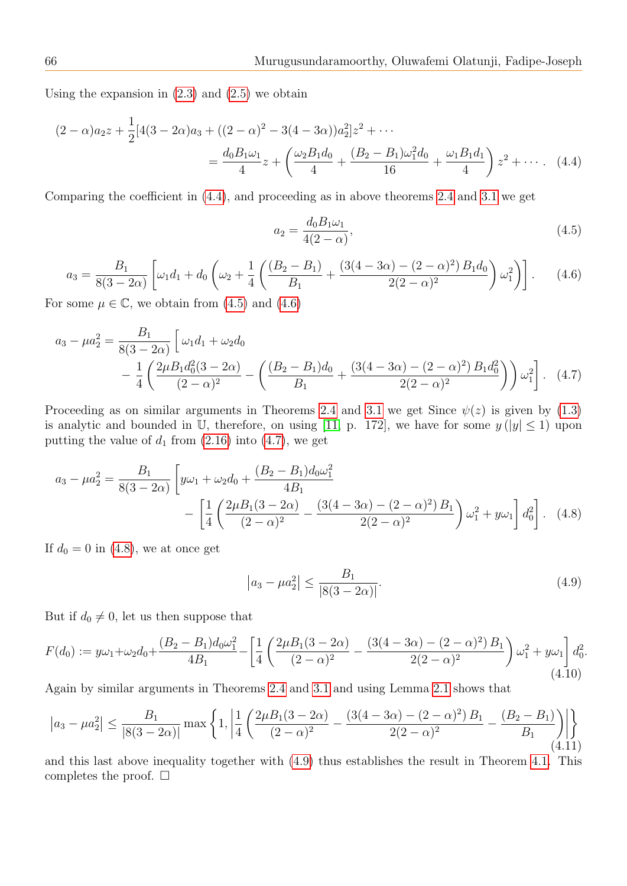Using the expansion in  $(2.3)$  and  $(2.5)$  we obtain

$$
(2 - \alpha)a_2 z + \frac{1}{2}[4(3 - 2\alpha)a_3 + ((2 - \alpha)^2 - 3(4 - 3\alpha))a_2^2]z^2 + \cdots
$$
  
= 
$$
\frac{d_0 B_1 \omega_1}{4} z + \left(\frac{\omega_2 B_1 d_0}{4} + \frac{(B_2 - B_1)\omega_1^2 d_0}{16} + \frac{\omega_1 B_1 d_1}{4}\right) z^2 + \cdots
$$
 (4.4)

Comparing the coefficient in [\(4.4\)](#page-11-0), and proceeding as in above theorems [2.4](#page-5-5) and [3.1](#page-8-7) we get

<span id="page-11-3"></span><span id="page-11-1"></span><span id="page-11-0"></span>
$$
a_2 = \frac{d_0 B_1 \omega_1}{4(2 - \alpha)},
$$
\n(4.5)

<span id="page-11-2"></span>
$$
a_3 = \frac{B_1}{8(3-2\alpha)} \left[ \omega_1 d_1 + d_0 \left( \omega_2 + \frac{1}{4} \left( \frac{(B_2 - B_1)}{B_1} + \frac{(3(4-3\alpha) - (2-\alpha)^2) B_1 d_0}{2(2-\alpha)^2} \right) \omega_1^2 \right) \right].
$$
 (4.6)

For some  $\mu \in \mathbb{C}$ , we obtain from [\(4.5\)](#page-11-1) and [\(4.6\)](#page-11-2)

$$
a_3 - \mu a_2^2 = \frac{B_1}{8(3 - 2\alpha)} \left[ \omega_1 d_1 + \omega_2 d_0 - \frac{1}{4} \left( \frac{2\mu B_1 d_0^2 (3 - 2\alpha)}{(2 - \alpha)^2} - \left( \frac{(B_2 - B_1) d_0}{B_1} + \frac{(3(4 - 3\alpha) - (2 - \alpha)^2) B_1 d_0^2}{2(2 - \alpha)^2} \right) \right) \omega_1^2 \right].
$$
 (4.7)

Proceeding as on similar arguments in Theorems [2.4](#page-5-5) and [3.1](#page-8-7) we get Since  $\psi(z)$  is given by [\(1.3\)](#page-1-0) is analytic and bounded in U, therefore, on using [\[11,](#page-13-1) p. 172], we have for some  $y (|y| \le 1)$  upon putting the value of  $d_1$  from  $(2.16)$  into  $(4.7)$ , we get

$$
a_3 - \mu a_2^2 = \frac{B_1}{8(3 - 2\alpha)} \left[ y\omega_1 + \omega_2 d_0 + \frac{(B_2 - B_1)d_0\omega_1^2}{4B_1} - \left[ \frac{1}{4} \left( \frac{2\mu B_1(3 - 2\alpha)}{(2 - \alpha)^2} - \frac{(3(4 - 3\alpha) - (2 - \alpha)^2)B_1}{2(2 - \alpha)^2} \right) \omega_1^2 + y\omega_1 \right] d_0^2 \right].
$$
 (4.8)

If  $d_0 = 0$  in [\(4.8\)](#page-11-4), we at once get

<span id="page-11-5"></span><span id="page-11-4"></span>
$$
|a_3 - \mu a_2^2| \le \frac{B_1}{|8(3 - 2\alpha)|}.\tag{4.9}
$$

But if  $d_0 \neq 0$ , let us then suppose that

<span id="page-11-6"></span>
$$
F(d_0) := y\omega_1 + \omega_2 d_0 + \frac{(B_2 - B_1)d_0\omega_1^2}{4B_1} - \left[\frac{1}{4}\left(\frac{2\mu B_1(3 - 2\alpha)}{(2 - \alpha)^2} - \frac{(3(4 - 3\alpha) - (2 - \alpha)^2)B_1}{2(2 - \alpha)^2}\right)\omega_1^2 + y\omega_1\right]d_0^2.
$$
\n(4.10)

Again by similar arguments in Theorems [2.4](#page-5-5) and [3.1](#page-8-7) and using Lemma [2.1](#page-4-0) shows that

<span id="page-11-7"></span>
$$
\left| a_3 - \mu a_2^2 \right| \le \frac{B_1}{|8(3 - 2\alpha)|} \max \left\{ 1, \left| \frac{1}{4} \left( \frac{2\mu B_1 (3 - 2\alpha)}{(2 - \alpha)^2} - \frac{(3(4 - 3\alpha) - (2 - \alpha)^2) B_1}{2(2 - \alpha)^2} - \frac{(B_2 - B_1)}{B_1} \right) \right| \right\}
$$
(4.11)

<span id="page-11-8"></span>and this last above inequality together with [\(4.9\)](#page-11-5) thus establishes the result in Theorem [4.1.](#page-10-3) This completes the proof.  $\square$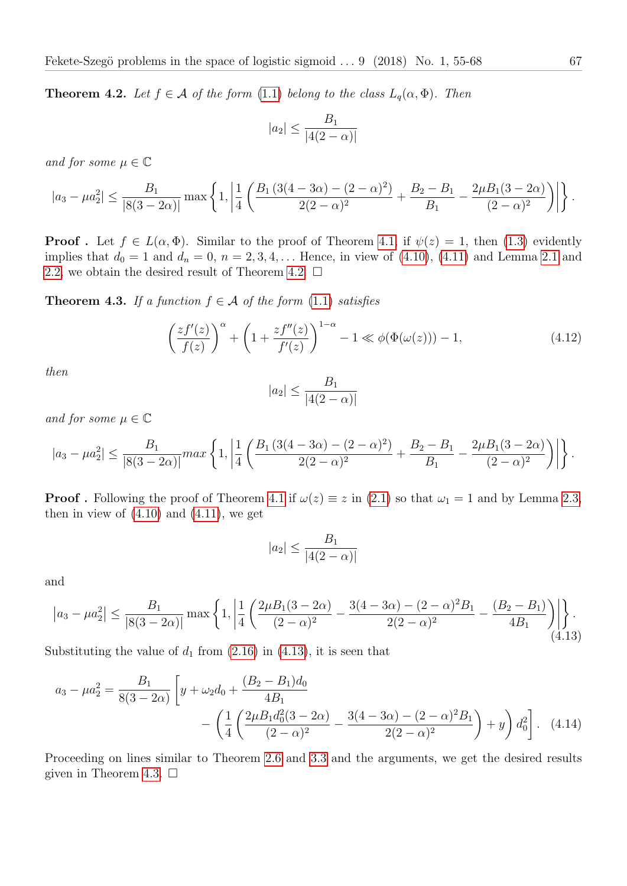**Theorem 4.2.** Let  $f \in \mathcal{A}$  of the form [\(1.1\)](#page-0-0) belong to the class  $L_q(\alpha, \Phi)$ . Then

$$
|a_2| \le \frac{B_1}{|4(2-\alpha)|}
$$

and for some  $\mu \in \mathbb{C}$ 

$$
|a_3 - \mu a_2^2| \le \frac{B_1}{|8(3-2\alpha)|} \max \left\{ 1, \left| \frac{1}{4} \left( \frac{B_1 (3(4-3\alpha) - (2-\alpha)^2)}{2(2-\alpha)^2} + \frac{B_2 - B_1}{B_1} - \frac{2\mu B_1 (3-2\alpha)}{(2-\alpha)^2} \right) \right| \right\}.
$$

**Proof**. Let  $f \in L(\alpha, \Phi)$ . Similar to the proof of Theorem [4.1,](#page-10-3) if  $\psi(z) = 1$ , then [\(1.3\)](#page-1-0) evidently implies that  $d_0 = 1$  and  $d_n = 0$ ,  $n = 2, 3, 4, \ldots$  Hence, in view of [\(4.10\)](#page-11-6), [\(4.11\)](#page-11-7) and Lemma [2.1](#page-4-0) and [2.2,](#page-4-1) we obtain the desired result of Theorem [4.2.](#page-11-8)  $\Box$ 

<span id="page-12-1"></span>**Theorem 4.3.** If a function  $f \in \mathcal{A}$  of the form [\(1.1\)](#page-0-0) satisfies

$$
\left(\frac{zf'(z)}{f(z)}\right)^{\alpha} + \left(1 + \frac{zf''(z)}{f'(z)}\right)^{1-\alpha} - 1 \ll \phi(\Phi(\omega(z))) - 1,\tag{4.12}
$$

then

$$
|a_2| \le \frac{B_1}{|4(2-\alpha)|}
$$

and for some  $\mu \in \mathbb{C}$ 

$$
|a_3 - \mu a_2^2| \le \frac{B_1}{|8(3-2\alpha)|} \max\left\{1, \left|\frac{1}{4} \left(\frac{B_1 (3(4-3\alpha) - (2-\alpha)^2)}{2(2-\alpha)^2} + \frac{B_2 - B_1}{B_1} - \frac{2\mu B_1 (3-2\alpha)}{(2-\alpha)^2}\right)\right|\right\}.
$$

**Proof**. Following the proof of Theorem [4.1](#page-10-3) if  $\omega(z) \equiv z$  in [\(2.1\)](#page-4-3) so that  $\omega_1 = 1$  and by Lemma [2.3,](#page-4-2) then in view of  $(4.10)$  and  $(4.11)$ , we get

$$
|a_2| \le \frac{B_1}{|4(2-\alpha)|}
$$

and

<span id="page-12-0"></span>
$$
\left| a_3 - \mu a_2^2 \right| \le \frac{B_1}{|8(3 - 2\alpha)|} \max \left\{ 1, \left| \frac{1}{4} \left( \frac{2\mu B_1(3 - 2\alpha)}{(2 - \alpha)^2} - \frac{3(4 - 3\alpha) - (2 - \alpha)^2 B_1}{2(2 - \alpha)^2} - \frac{(B_2 - B_1)}{4B_1} \right) \right| \right\}.
$$
\n(4.13)

Substituting the value of  $d_1$  from [\(2.16\)](#page-6-5) in [\(4.13\)](#page-12-0), it is seen that

$$
a_3 - \mu a_2^2 = \frac{B_1}{8(3 - 2\alpha)} \left[ y + \omega_2 d_0 + \frac{(B_2 - B_1)d_0}{4B_1} - \left( \frac{1}{4} \left( \frac{2\mu B_1 d_0^2 (3 - 2\alpha)}{(2 - \alpha)^2} - \frac{3(4 - 3\alpha) - (2 - \alpha)^2 B_1}{2(2 - \alpha)^2} \right) + y \right) d_0^2 \right].
$$
 (4.14)

Proceeding on lines similar to Theorem [2.6](#page-7-2) and [3.3](#page-9-2) and the arguments, we get the desired results given in Theorem [4.3.](#page-12-1)  $\Box$